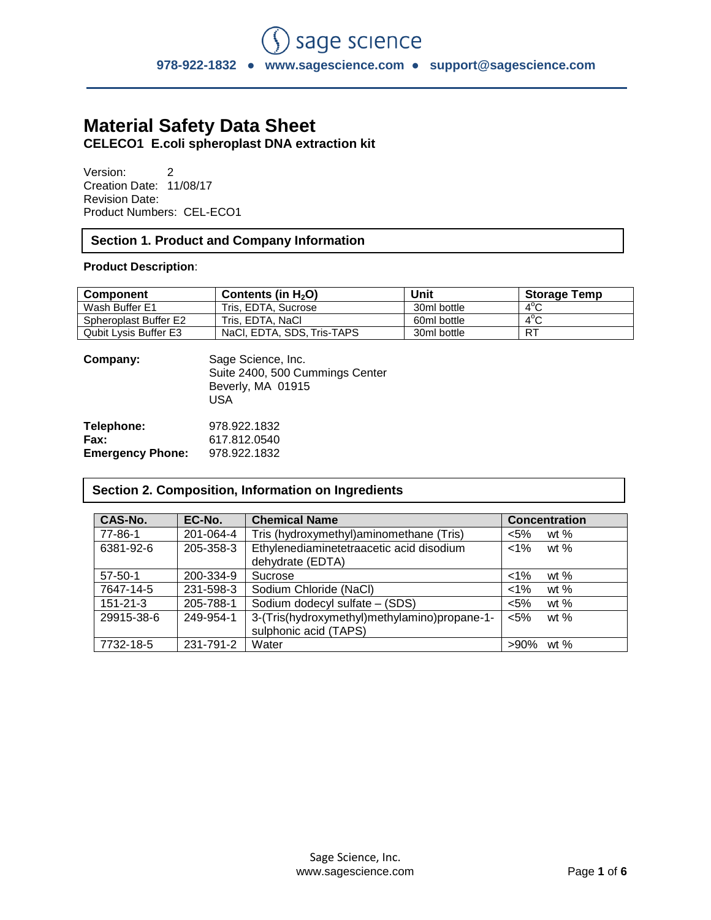# **Material Safety Data Sheet**

**CELECO1 E.coli spheroplast DNA extraction kit**

Version: 2 Creation Date: 11/08/17 Revision Date: Product Numbers: CEL-ECO1

## **Section 1. Product and Company Information**

### **Product Description**:

| <b>Component</b>      | Contents (in $H_2O$ )      | Unit        | <b>Storage Temp</b> |
|-----------------------|----------------------------|-------------|---------------------|
| Wash Buffer E1        | Tris, EDTA, Sucrose        | 30ml bottle | $4^{\circ}$ C       |
| Spheroplast Buffer E2 | Tris. EDTA. NaCl           | 60ml bottle | $4^{\circ}$ C       |
| Qubit Lysis Buffer E3 | NaCl, EDTA, SDS, Tris-TAPS | 30ml bottle | R <sub>1</sub>      |

| Company:                | Sage Science, Inc.<br>Suite 2400, 500 Cummings Center<br>Beverly, MA 01915<br>USA |
|-------------------------|-----------------------------------------------------------------------------------|
| Telephone:              | 978.922.1832                                                                      |
| Fax:                    | 617.812.0540                                                                      |
| <b>Emergency Phone:</b> | 978.922.1832                                                                      |

## **Section 2. Composition, Information on Ingredients**

| CAS-No.        | EC-No.    | <b>Chemical Name</b>                                                  | <b>Concentration</b> |
|----------------|-----------|-----------------------------------------------------------------------|----------------------|
| 77-86-1        | 201-064-4 | Tris (hydroxymethyl)aminomethane (Tris)                               | $< 5\%$<br>wt $%$    |
| 6381-92-6      | 205-358-3 | Ethylenediaminetetraacetic acid disodium<br>dehydrate (EDTA)          | $<$ 1%<br>wt $%$     |
| $57-50-1$      | 200-334-9 | Sucrose                                                               | $< 1\%$<br>wt $%$    |
| 7647-14-5      | 231-598-3 | Sodium Chloride (NaCl)                                                | $< 1\%$<br>wt $%$    |
| $151 - 21 - 3$ | 205-788-1 | Sodium dodecyl sulfate - (SDS)                                        | $< 5\%$<br>wt $%$    |
| 29915-38-6     | 249-954-1 | 3-(Tris(hydroxymethyl)methylamino)propane-1-<br>sulphonic acid (TAPS) | $5%$<br>wt $%$       |
| 7732-18-5      | 231-791-2 | Water                                                                 | $>90\%$<br>wt $%$    |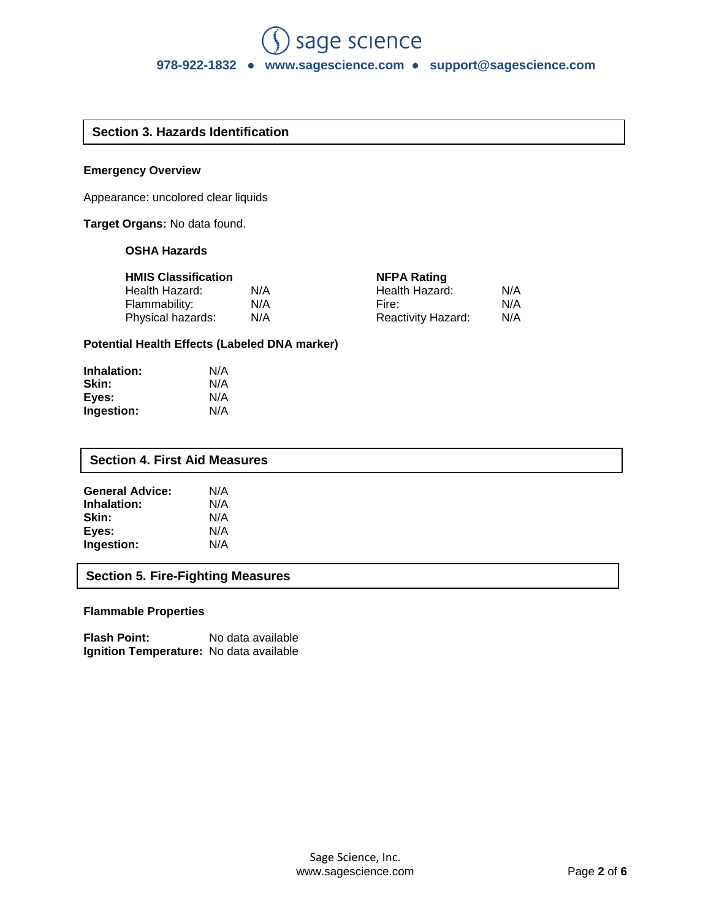## **Section 3. Hazards Identification**

#### **Emergency Overview**

Appearance: uncolored clear liquids

**Target Organs:** No data found.

## **OSHA Hazards**

|  |  | <b>HMIS Classification</b> |  |
|--|--|----------------------------|--|
|--|--|----------------------------|--|

| <b>HMIS Classification</b> |     | <b>NFPA Rating</b>        |     |
|----------------------------|-----|---------------------------|-----|
| Health Hazard:             | N/A | Health Hazard:            | N/A |
| Flammability:              | N/A | Fire:                     | N/A |
| Physical hazards:          | N/A | <b>Reactivity Hazard:</b> | N/A |

## **Potential Health Effects (Labeled DNA marker)**

| Inhalation: | N/A |
|-------------|-----|
| Skin:       | N/A |
| Eyes:       | N/A |
| Ingestion:  | N/A |

| <b>Section 4. First Aid Measures</b>     |     |  |  |  |  |
|------------------------------------------|-----|--|--|--|--|
| <b>General Advice:</b>                   | N/A |  |  |  |  |
| Inhalation:                              | N/A |  |  |  |  |
| Skin:                                    | N/A |  |  |  |  |
| Eyes:                                    | N/A |  |  |  |  |
| Ingestion:                               | N/A |  |  |  |  |
| <b>Section 5. Fire-Fighting Measures</b> |     |  |  |  |  |

## **Flammable Properties**

**Flash Point:** No data available **Ignition Temperature:** No data available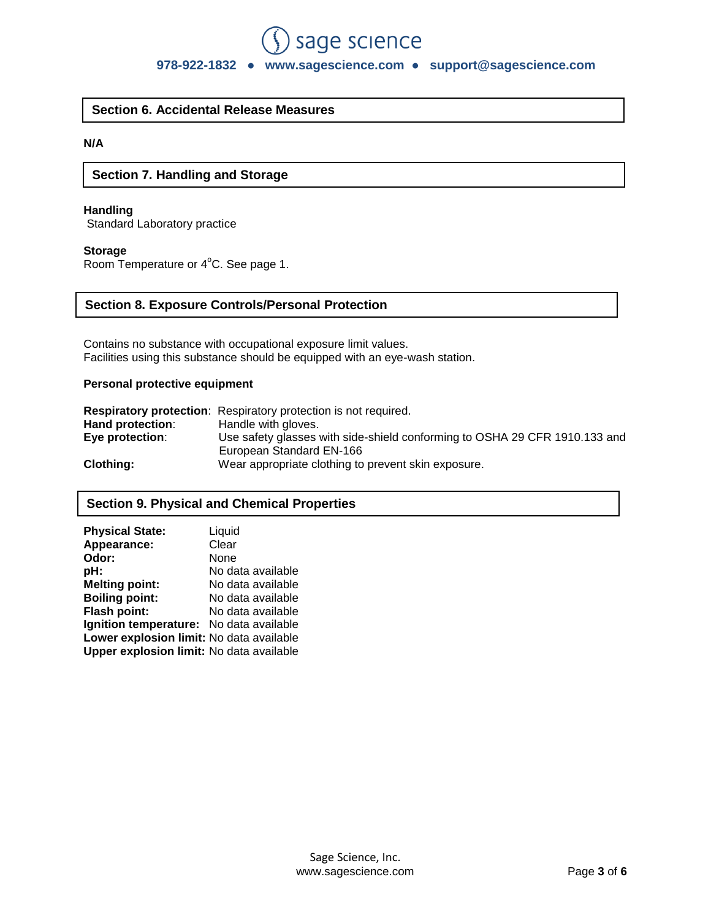## **978-922-1832** ● **www.sagescience.com ● support@sagescience.com**

sage science

## **Section 6. Accidental Release Measures**

## **N/A**

## **Section 7. Handling and Storage**

## **Handling**

Standard Laboratory practice

#### **Storage**

Room Temperature or 4°C. See page 1.

#### **Section 8. Exposure Controls/Personal Protection**

Contains no substance with occupational exposure limit values. Facilities using this substance should be equipped with an eye-wash station.

## **Personal protective equipment**

|                  | <b>Respiratory protection:</b> Respiratory protection is not required.     |
|------------------|----------------------------------------------------------------------------|
| Hand protection: | Handle with gloves.                                                        |
| Eye protection:  | Use safety glasses with side-shield conforming to OSHA 29 CFR 1910.133 and |
|                  | European Standard EN-166                                                   |
| <b>Clothing:</b> | Wear appropriate clothing to prevent skin exposure.                        |

## **Section 9. Physical and Chemical Properties**

| <b>Physical State:</b>                   | Liquid            |
|------------------------------------------|-------------------|
| Appearance:                              | Clear             |
| Odor:                                    | None              |
| pH:                                      | No data available |
| <b>Melting point:</b>                    | No data available |
| <b>Boiling point:</b>                    | No data available |
| Flash point:                             | No data available |
| Ignition temperature: No data available  |                   |
| Lower explosion limit: No data available |                   |
| Upper explosion limit: No data available |                   |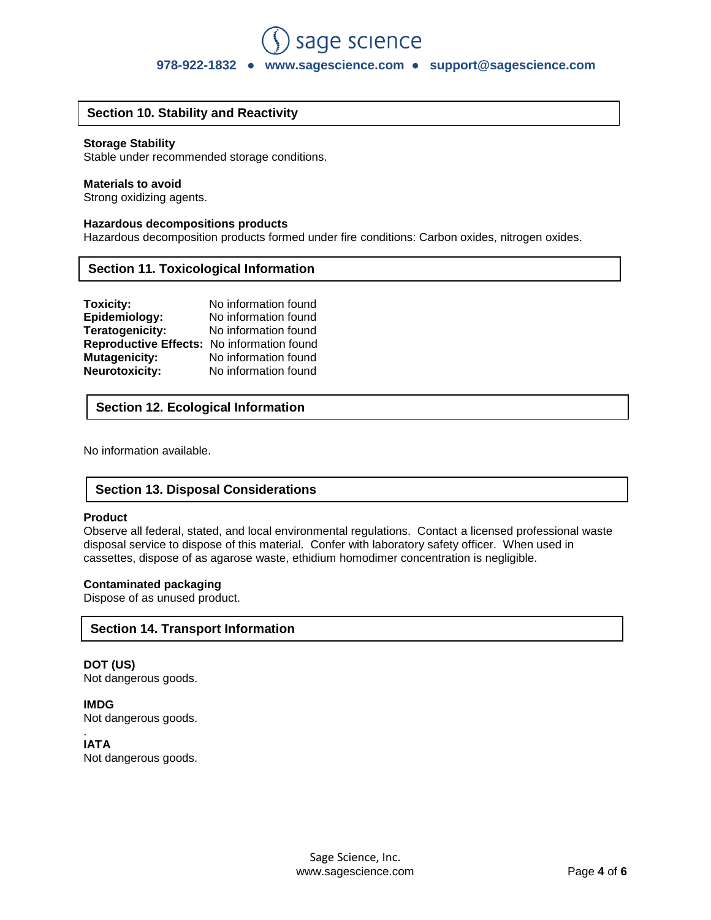## sage science **978-922-1832** ● **www.sagescience.com ● support@sagescience.com**

## **Section 10. Stability and Reactivity**

#### **Storage Stability**

Stable under recommended storage conditions.

#### **Materials to avoid**

Strong oxidizing agents.

#### **Hazardous decompositions products**

Hazardous decomposition products formed under fire conditions: Carbon oxides, nitrogen oxides.

#### **Section 11. Toxicological Information**

| Toxicity:                                  | No information found |
|--------------------------------------------|----------------------|
| Epidemiology:                              | No information found |
| Teratogenicity:                            | No information found |
| Reproductive Effects: No information found |                      |
| <b>Mutagenicity:</b>                       | No information found |
| <b>Neurotoxicity:</b>                      | No information found |

## **Section 12. Ecological Information**

No information available.

## **Section 13. Disposal Considerations**

#### **Product**

Observe all federal, stated, and local environmental regulations. Contact a licensed professional waste disposal service to dispose of this material. Confer with laboratory safety officer. When used in cassettes, dispose of as agarose waste, ethidium homodimer concentration is negligible.

#### **Contaminated packaging**

Dispose of as unused product.

## **Section 14. Transport Information**

**DOT (US)** Not dangerous goods.

**IMDG** Not dangerous goods.

. **IATA** Not dangerous goods.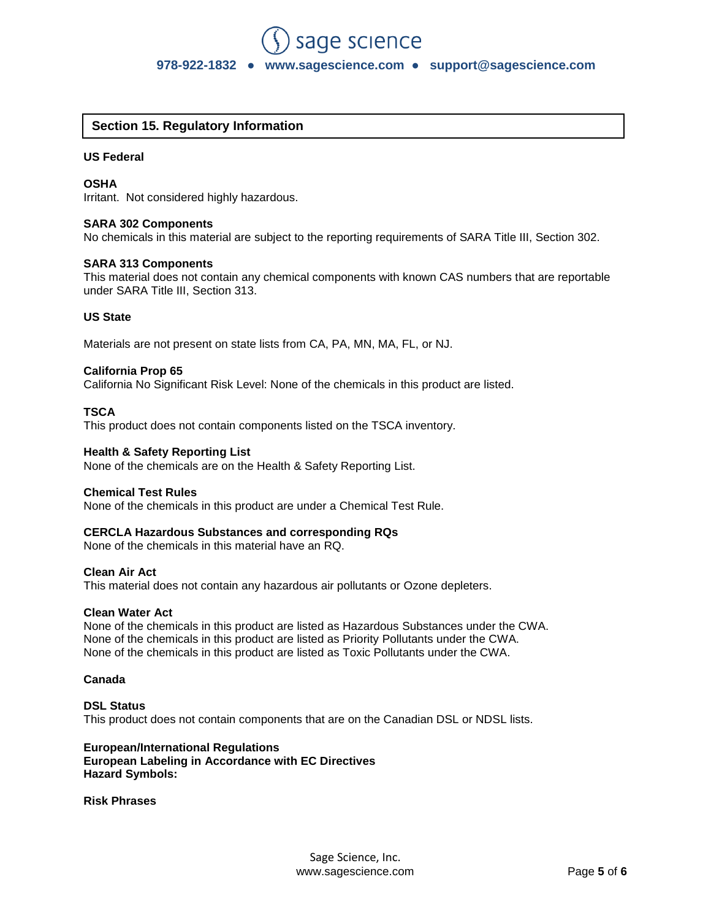## **Section 15. Regulatory Information**

#### **US Federal**

#### **OSHA**

Irritant. Not considered highly hazardous.

#### **SARA 302 Components**

No chemicals in this material are subject to the reporting requirements of SARA Title III, Section 302.

#### **SARA 313 Components**

This material does not contain any chemical components with known CAS numbers that are reportable under SARA Title III, Section 313.

#### **US State**

Materials are not present on state lists from CA, PA, MN, MA, FL, or NJ.

#### **California Prop 65**

California No Significant Risk Level: None of the chemicals in this product are listed.

#### **TSCA**

This product does not contain components listed on the TSCA inventory.

#### **Health & Safety Reporting List**

None of the chemicals are on the Health & Safety Reporting List.

#### **Chemical Test Rules**

None of the chemicals in this product are under a Chemical Test Rule.

#### **CERCLA Hazardous Substances and corresponding RQs**

None of the chemicals in this material have an RQ.

#### **Clean Air Act**

This material does not contain any hazardous air pollutants or Ozone depleters.

#### **Clean Water Act**

None of the chemicals in this product are listed as Hazardous Substances under the CWA. None of the chemicals in this product are listed as Priority Pollutants under the CWA. None of the chemicals in this product are listed as Toxic Pollutants under the CWA.

#### **Canada**

#### **DSL Status** This product does not contain components that are on the Canadian DSL or NDSL lists.

#### **European/International Regulations European Labeling in Accordance with EC Directives Hazard Symbols:**

#### **Risk Phrases**